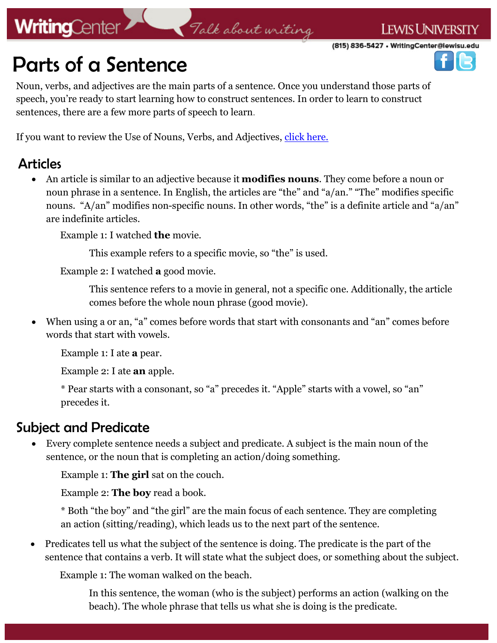# **WritingCenter**

## Talk about writing

(815) 836-5427 • WritingCenter@lewisu.edu

**LEWIS UNIVERSITY** 



Noun, verbs, and adjectives are the main parts of a sentence. Once you understand those parts of speech, you're ready to start learning how to construct sentences. In order to learn to construct sentences, there are a few more parts of speech to learn.

If you want to review the Use of Nouns, Verbs, and Adjectives, [click here.](https://lewisuwritingcenter.files.wordpress.com/2014/02/useofnouns_etc.pdf)

### Articles

 An article is similar to an adjective because it **modifies nouns**. They come before a noun or noun phrase in a sentence. In English, the articles are "the" and "a/an." "The" modifies specific nouns. "A/an" modifies non-specific nouns. In other words, "the" is a definite article and "a/an" are indefinite articles.

Example 1: I watched **the** movie.

This example refers to a specific movie, so "the" is used.

Example 2: I watched **a** good movie.

This sentence refers to a movie in general, not a specific one. Additionally, the article comes before the whole noun phrase (good movie).

 When using a or an, "a" comes before words that start with consonants and "an" comes before words that start with vowels.

Example 1: I ate **a** pear.

Example 2: I ate **an** apple.

\* Pear starts with a consonant, so "a" precedes it. "Apple" starts with a vowel, so "an" precedes it.

## Subject and Predicate

 Every complete sentence needs a subject and predicate. A subject is the main noun of the sentence, or the noun that is completing an action/doing something.

Example 1: **The girl** sat on the couch.

Example 2: **The boy** read a book.

\* Both "the boy" and "the girl" are the main focus of each sentence. They are completing an action (sitting/reading), which leads us to the next part of the sentence.

• Predicates tell us what the subject of the sentence is doing. The predicate is the part of the sentence that contains a verb. It will state what the subject does, or something about the subject.

Example 1: The woman walked on the beach.

In this sentence, the woman (who is the subject) performs an action (walking on the beach). The whole phrase that tells us what she is doing is the predicate.